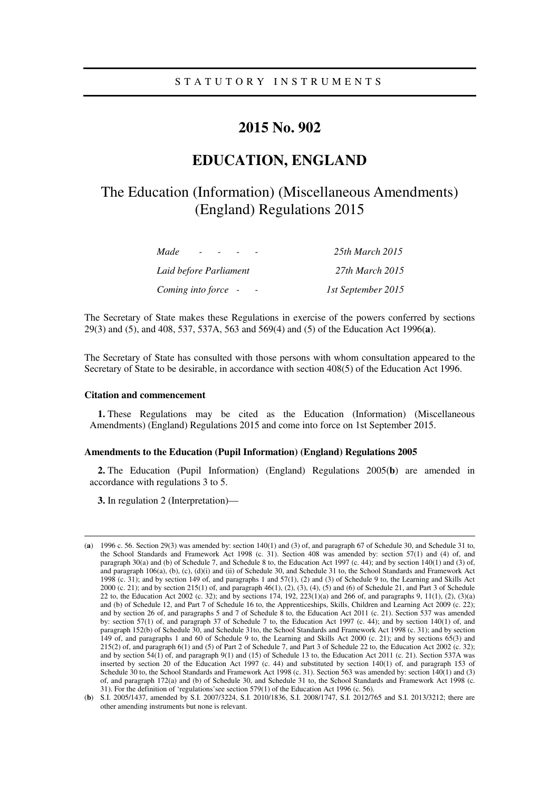# **2015 No. 902**

# **EDUCATION, ENGLAND**

# The Education (Information) (Miscellaneous Amendments) (England) Regulations 2015

| Made<br>$\overline{\phantom{a}}$ | 25th March 2015    |
|----------------------------------|--------------------|
| Laid before Parliament           | 27th March 2015    |
| Coming into force -              | 1st September 2015 |

The Secretary of State makes these Regulations in exercise of the powers conferred by sections 29(3) and (5), and 408, 537, 537A, 563 and 569(4) and (5) of the Education Act 1996(**a**).

The Secretary of State has consulted with those persons with whom consultation appeared to the Secretary of State to be desirable, in accordance with section 408(5) of the Education Act 1996.

#### **Citation and commencement**

**1.** These Regulations may be cited as the Education (Information) (Miscellaneous Amendments) (England) Regulations 2015 and come into force on 1st September 2015.

#### **Amendments to the Education (Pupil Information) (England) Regulations 2005**

**2.** The Education (Pupil Information) (England) Regulations 2005(**b**) are amended in accordance with regulations 3 to 5.

**3.** In regulation 2 (Interpretation)—

<u>.</u>

<sup>(</sup>**a**) 1996 c. 56. Section 29(3) was amended by: section 140(1) and (3) of, and paragraph 67 of Schedule 30, and Schedule 31 to, the School Standards and Framework Act 1998 (c. 31). Section 408 was amended by: section 57(1) and (4) of, and paragraph 30(a) and (b) of Schedule 7, and Schedule 8 to, the Education Act 1997 (c. 44); and by section 140(1) and (3) of, and paragraph 106(a), (b), (c), (d)(i) and (ii) of Schedule 30, and Schedule 31 to, the School Standards and Framework Act 1998 (c. 31); and by section 149 of, and paragraphs 1 and 57(1), (2) and (3) of Schedule 9 to, the Learning and Skills Act 2000 (c. 21); and by section 215(1) of, and paragraph 46(1), (2), (3), (4), (5) and (6) of Schedule 21, and Part 3 of Schedule 22 to, the Education Act 2002 (c. 32); and by sections 174, 192, 223(1)(a) and 266 of, and paragraphs 9, 11(1), (2), (3)(a) and (b) of Schedule 12, and Part 7 of Schedule 16 to, the Apprenticeships, Skills, Children and Learning Act 2009 (c. 22); and by section 26 of, and paragraphs 5 and 7 of Schedule 8 to, the Education Act 2011 (c. 21). Section 537 was amended by: section 57(1) of, and paragraph 37 of Schedule 7 to, the Education Act 1997 (c. 44); and by section 140(1) of, and paragraph 152(b) of Schedule 30, and Schedule 31to, the School Standards and Framework Act 1998 (c. 31); and by section 149 of, and paragraphs 1 and 60 of Schedule 9 to, the Learning and Skills Act 2000 (c. 21); and by sections 65(3) and 215(2) of, and paragraph 6(1) and (5) of Part 2 of Schedule 7, and Part 3 of Schedule 22 to, the Education Act 2002 (c. 32); and by section 54(1) of, and paragraph 9(1) and (15) of Schedule 13 to, the Education Act 2011 (c. 21). Section 537A was inserted by section 20 of the Education Act 1997 (c. 44) and substituted by section 140(1) of, and paragraph 153 of Schedule 30 to, the School Standards and Framework Act 1998 (c. 31). Section 563 was amended by: section 140(1) and (3) of, and paragraph 172(a) and (b) of Schedule 30, and Schedule 31 to, the School Standards and Framework Act 1998 (c. 31). For the definition of 'regulations'see section 579(1) of the Education Act 1996 (c. 56).

<sup>(</sup>**b**) S.I. 2005/1437, amended by S.I. 2007/3224, S.I. 2010/1836, S.I. 2008/1747, S.I. 2012/765 and S.I. 2013/3212; there are other amending instruments but none is relevant.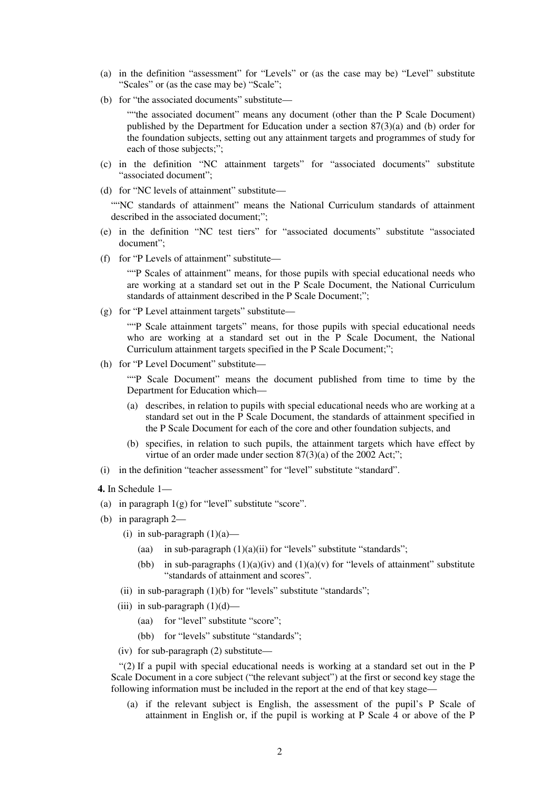- (a) in the definition "assessment" for "Levels" or (as the case may be) "Level" substitute "Scales" or (as the case may be) "Scale";
- (b) for "the associated documents" substitute—

""the associated document" means any document (other than the P Scale Document) published by the Department for Education under a section 87(3)(a) and (b) order for the foundation subjects, setting out any attainment targets and programmes of study for each of those subjects;";

- (c) in the definition "NC attainment targets" for "associated documents" substitute "associated document";
- (d) for "NC levels of attainment" substitute—

""NC standards of attainment" means the National Curriculum standards of attainment described in the associated document;";

- (e) in the definition "NC test tiers" for "associated documents" substitute "associated document";
- (f) for "P Levels of attainment" substitute—

""P Scales of attainment" means, for those pupils with special educational needs who are working at a standard set out in the P Scale Document, the National Curriculum standards of attainment described in the P Scale Document;";

(g) for "P Level attainment targets" substitute—

""P Scale attainment targets" means, for those pupils with special educational needs who are working at a standard set out in the P Scale Document, the National Curriculum attainment targets specified in the P Scale Document;";

(h) for "P Level Document" substitute—

""P Scale Document" means the document published from time to time by the Department for Education which—

- (a) describes, in relation to pupils with special educational needs who are working at a standard set out in the P Scale Document, the standards of attainment specified in the P Scale Document for each of the core and other foundation subjects, and
- (b) specifies, in relation to such pupils, the attainment targets which have effect by virtue of an order made under section  $87(3)(a)$  of the 2002 Act;";
- (i) in the definition "teacher assessment" for "level" substitute "standard".
- **4.** In Schedule 1—
- (a) in paragraph 1(g) for "level" substitute "score".
- (b) in paragraph 2—
	- (i) in sub-paragraph  $(1)(a)$ 
		- (aa) in sub-paragraph  $(1)(a)(ii)$  for "levels" substitute "standards";
		- (bb) in sub-paragraphs  $(1)(a)(iv)$  and  $(1)(a)(v)$  for "levels of attainment" substitute "standards of attainment and scores".
	- (ii) in sub-paragraph  $(1)(b)$  for "levels" substitute "standards";
	- (iii) in sub-paragraph  $(1)(d)$ 
		- (aa) for "level" substitute "score";
		- (bb) for "levels" substitute "standards";
	- (iv) for sub-paragraph (2) substitute—

"(2) If a pupil with special educational needs is working at a standard set out in the P Scale Document in a core subject ("the relevant subject") at the first or second key stage the following information must be included in the report at the end of that key stage—

(a) if the relevant subject is English, the assessment of the pupil's P Scale of attainment in English or, if the pupil is working at P Scale 4 or above of the P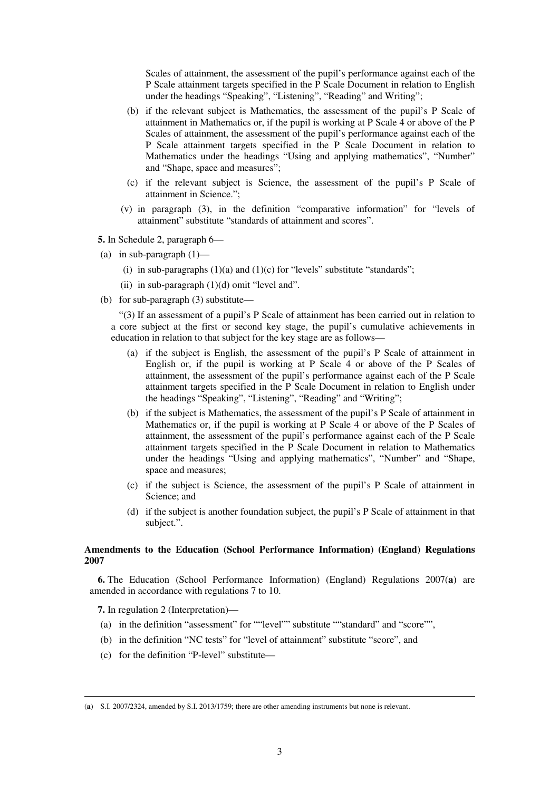Scales of attainment, the assessment of the pupil's performance against each of the P Scale attainment targets specified in the P Scale Document in relation to English under the headings "Speaking", "Listening", "Reading" and Writing";

- (b) if the relevant subject is Mathematics, the assessment of the pupil's P Scale of attainment in Mathematics or, if the pupil is working at P Scale 4 or above of the P Scales of attainment, the assessment of the pupil's performance against each of the P Scale attainment targets specified in the P Scale Document in relation to Mathematics under the headings "Using and applying mathematics", "Number" and "Shape, space and measures";
- (c) if the relevant subject is Science, the assessment of the pupil's P Scale of attainment in Science.";
- (v) in paragraph (3), in the definition "comparative information" for "levels of attainment" substitute "standards of attainment and scores".

**5.** In Schedule 2, paragraph 6—

- (a) in sub-paragraph  $(1)$ 
	- (i) in sub-paragraphs  $(1)(a)$  and  $(1)(c)$  for "levels" substitute "standards";
	- (ii) in sub-paragraph  $(1)(d)$  omit "level and".
- (b) for sub-paragraph (3) substitute—

"(3) If an assessment of a pupil's P Scale of attainment has been carried out in relation to a core subject at the first or second key stage, the pupil's cumulative achievements in education in relation to that subject for the key stage are as follows—

- (a) if the subject is English, the assessment of the pupil's P Scale of attainment in English or, if the pupil is working at P Scale 4 or above of the P Scales of attainment, the assessment of the pupil's performance against each of the P Scale attainment targets specified in the P Scale Document in relation to English under the headings "Speaking", "Listening", "Reading" and "Writing";
- (b) if the subject is Mathematics, the assessment of the pupil's P Scale of attainment in Mathematics or, if the pupil is working at P Scale 4 or above of the P Scales of attainment, the assessment of the pupil's performance against each of the P Scale attainment targets specified in the P Scale Document in relation to Mathematics under the headings "Using and applying mathematics", "Number" and "Shape, space and measures;
- (c) if the subject is Science, the assessment of the pupil's P Scale of attainment in Science; and
- (d) if the subject is another foundation subject, the pupil's P Scale of attainment in that subject.".

### **Amendments to the Education (School Performance Information) (England) Regulations 2007**

**6.** The Education (School Performance Information) (England) Regulations 2007(**a**) are amended in accordance with regulations 7 to 10.

**7.** In regulation 2 (Interpretation)—

<u>.</u>

- (a) in the definition "assessment" for ""level"" substitute ""standard" and "score"",
- (b) in the definition "NC tests" for "level of attainment" substitute "score", and
- (c) for the definition "P-level" substitute—

<sup>(</sup>**a**) S.I. 2007/2324, amended by S.I. 2013/1759; there are other amending instruments but none is relevant.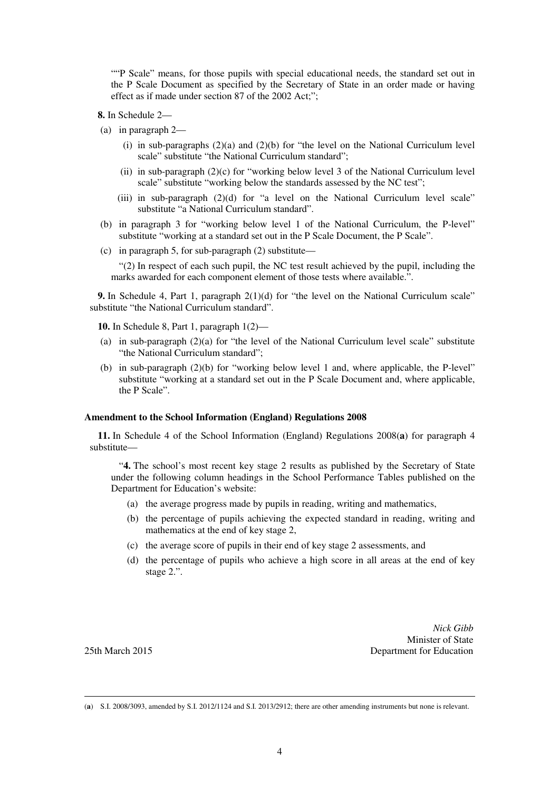""P Scale" means, for those pupils with special educational needs, the standard set out in the P Scale Document as specified by the Secretary of State in an order made or having effect as if made under section 87 of the 2002 Act;";

**8.** In Schedule 2—

- (a) in paragraph 2—
	- (i) in sub-paragraphs  $(2)(a)$  and  $(2)(b)$  for "the level on the National Curriculum level scale" substitute "the National Curriculum standard";
	- (ii) in sub-paragraph (2)(c) for "working below level 3 of the National Curriculum level scale" substitute "working below the standards assessed by the NC test";
	- (iii) in sub-paragraph  $(2)(d)$  for "a level on the National Curriculum level scale" substitute "a National Curriculum standard".
- (b) in paragraph 3 for "working below level 1 of the National Curriculum, the P-level" substitute "working at a standard set out in the P Scale Document, the P Scale".
- (c) in paragraph 5, for sub-paragraph (2) substitute—

"(2) In respect of each such pupil, the NC test result achieved by the pupil, including the marks awarded for each component element of those tests where available.".

**9.** In Schedule 4, Part 1, paragraph 2(1)(d) for "the level on the National Curriculum scale" substitute "the National Curriculum standard".

**10.** In Schedule 8, Part 1, paragraph 1(2)—

- (a) in sub-paragraph  $(2)(a)$  for "the level of the National Curriculum level scale" substitute "the National Curriculum standard";
- (b) in sub-paragraph (2)(b) for "working below level 1 and, where applicable, the P-level" substitute "working at a standard set out in the P Scale Document and, where applicable, the P Scale".

### **Amendment to the School Information (England) Regulations 2008**

**11.** In Schedule 4 of the School Information (England) Regulations 2008(**a**) for paragraph 4 substitute—

"**4.** The school's most recent key stage 2 results as published by the Secretary of State under the following column headings in the School Performance Tables published on the Department for Education's website:

- (a) the average progress made by pupils in reading, writing and mathematics,
- (b) the percentage of pupils achieving the expected standard in reading, writing and mathematics at the end of key stage 2,
- (c) the average score of pupils in their end of key stage 2 assessments, and
- (d) the percentage of pupils who achieve a high score in all areas at the end of key stage 2.".

*Nick Gibb*  Minister of State 25th March 2015 Department for Education

<u>.</u>

<sup>(</sup>**a**) S.I. 2008/3093, amended by S.I. 2012/1124 and S.I. 2013/2912; there are other amending instruments but none is relevant.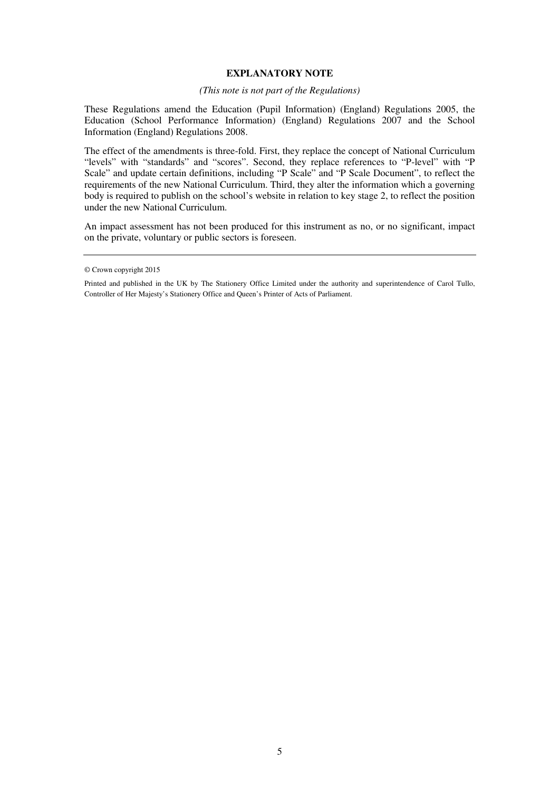## **EXPLANATORY NOTE**

### *(This note is not part of the Regulations)*

These Regulations amend the Education (Pupil Information) (England) Regulations 2005, the Education (School Performance Information) (England) Regulations 2007 and the School Information (England) Regulations 2008.

The effect of the amendments is three-fold. First, they replace the concept of National Curriculum "levels" with "standards" and "scores". Second, they replace references to "P-level" with "P Scale" and update certain definitions, including "P Scale" and "P Scale Document", to reflect the requirements of the new National Curriculum. Third, they alter the information which a governing body is required to publish on the school's website in relation to key stage 2, to reflect the position under the new National Curriculum.

An impact assessment has not been produced for this instrument as no, or no significant, impact on the private, voluntary or public sectors is foreseen.

<sup>©</sup> Crown copyright 2015

Printed and published in the UK by The Stationery Office Limited under the authority and superintendence of Carol Tullo, Controller of Her Majesty's Stationery Office and Queen's Printer of Acts of Parliament.